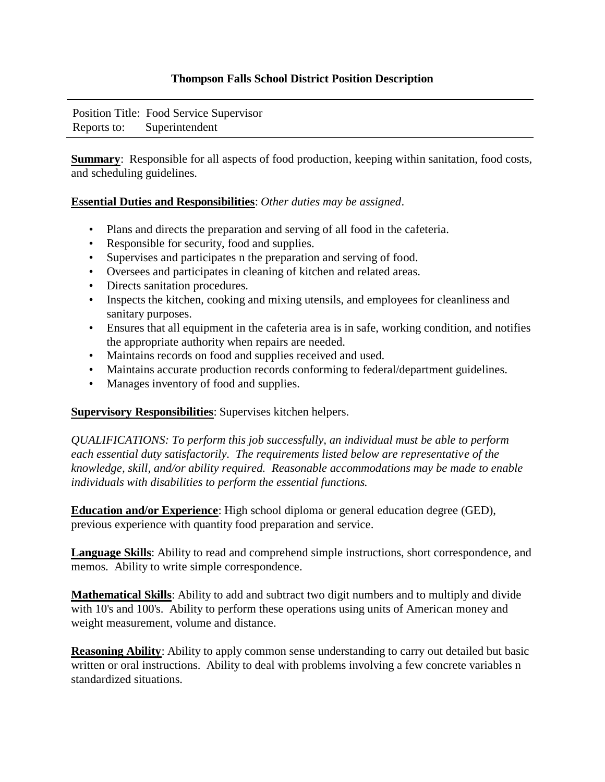## **Thompson Falls School District Position Description**

Position Title: Food Service Supervisor Reports to: Superintendent

**Summary**: Responsible for all aspects of food production, keeping within sanitation, food costs, and scheduling guidelines.

## **Essential Duties and Responsibilities**: *Other duties may be assigned*.

- Plans and directs the preparation and serving of all food in the cafeteria.
- Responsible for security, food and supplies.
- Supervises and participates n the preparation and serving of food.
- Oversees and participates in cleaning of kitchen and related areas.
- Directs sanitation procedures.
- Inspects the kitchen, cooking and mixing utensils, and employees for cleanliness and sanitary purposes.
- Ensures that all equipment in the cafeteria area is in safe, working condition, and notifies the appropriate authority when repairs are needed.
- Maintains records on food and supplies received and used.
- Maintains accurate production records conforming to federal/department guidelines.
- Manages inventory of food and supplies.

## **Supervisory Responsibilities**: Supervises kitchen helpers.

*QUALIFICATIONS: To perform this job successfully, an individual must be able to perform each essential duty satisfactorily. The requirements listed below are representative of the knowledge, skill, and/or ability required. Reasonable accommodations may be made to enable individuals with disabilities to perform the essential functions.* 

**Education and/or Experience**: High school diploma or general education degree (GED), previous experience with quantity food preparation and service.

**Language Skills**: Ability to read and comprehend simple instructions, short correspondence, and memos. Ability to write simple correspondence.

**Mathematical Skills**: Ability to add and subtract two digit numbers and to multiply and divide with 10's and 100's. Ability to perform these operations using units of American money and weight measurement, volume and distance.

**Reasoning Ability**: Ability to apply common sense understanding to carry out detailed but basic written or oral instructions. Ability to deal with problems involving a few concrete variables n standardized situations.